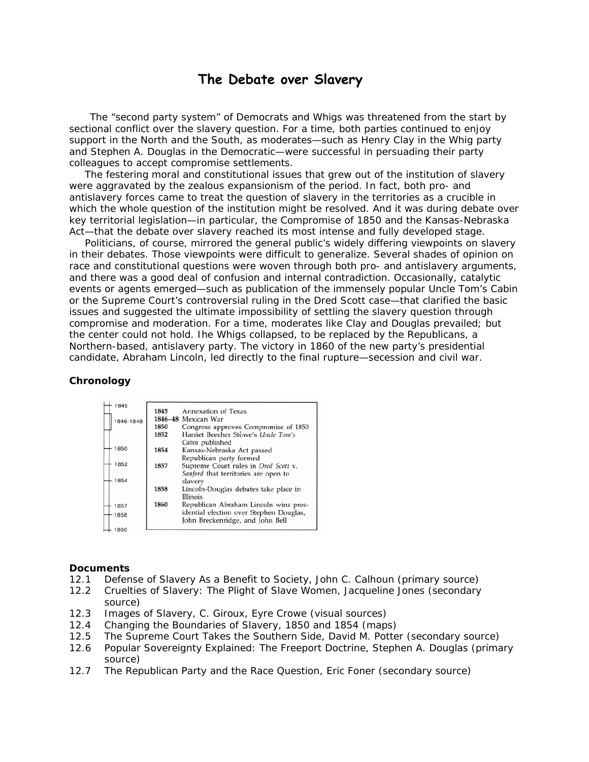# **The Debate over Slavery**

 The "second party system" of Democrats and Whigs was threatened from the start by sectional conflict over the slavery question. For a time, both parties continued to enjoy support in the North and the South, as moderates—such as Henry Clay in the Whig party and Stephen A. Douglas in the Democratic—were successful in persuading their party colleagues to accept compromise settlements.

The festering moral and constitutional issues that grew out of the institution of slavery were aggravated by the zealous expansionism of the period. In fact, both pro- and antislavery forces came to treat the question of slavery in the territories as a crucible in which the whole question of the institution might be resolved. And it was during debate over key territorial legislation—in particular, the Compromise of 1850 and the Kansas-Nebraska Act—that the debate over slavery reached its most intense and fully developed stage.

Politicians, of course, mirrored the general public's widely differing viewpoints on slavery in their debates. Those viewpoints were difficult to generalize. Several shades of opinion on race and constitutional questions were woven through both pro- and antislavery arguments, and there was a good deal of confusion and internal contradiction. Occasionally, catalytic events or agents emerged—such as publication of the immensely popular Uncle Tom's Cabin or the Supreme Court's controversial ruling in the Dred Scott case—that clarified the basic issues and suggested the ultimate impossibility of settling the slavery question through compromise and moderation. For a time, moderates like Clay and Douglas prevailed; but the center could not hold. Ihe Whigs collapsed, to be replaced by the Republicans, a Northern-based, antislavery party. The victory in 1860 of the new party's presidential candidate, Abraham Lincoln, led directly to the final rupture—secession and civil war.

### **Chronology**

| 1845      |      |                                         |
|-----------|------|-----------------------------------------|
|           | 1845 | Annexation of Texas                     |
| 1846-1848 |      | 1846-48 Mexican War                     |
|           | 1850 | Congress approves Compromise of 1850    |
|           | 1852 | Harriet Beecher Stowe's Uncle Tom's     |
|           |      | Cabin published                         |
| 1850      | 1854 | Kansas-Nebraska Act passed              |
|           |      | Republican party formed                 |
| 1852      | 1857 | Supreme Court rules in Dred Scott v.    |
|           |      | Sanford that territories are open to    |
| 1854      |      | slavery                                 |
|           | 1858 | Lincoln-Douglas debates take place in   |
|           |      | Illinois                                |
| 1857      | 1860 | Republican Abraham Lincoln wins pres-   |
| 1858      |      | idential election over Stephen Douglas, |
|           |      | John Breckenridge, and John Bell        |
| 1860      |      |                                         |

#### **Documents**

- 12.1 Defense of Slavery As a Benefit to Society, John C. Calhoun (primary source)
- 12.2 Cruelties of Slavery: The Plight of Slave Women, Jacqueline Jones (secondary source)
- 12.3 Images of Slavery, C. Giroux, Eyre Crowe (visual sources)
- 12.4 Changing the Boundaries of Slavery, 1850 and 1854 (maps)
- 12.5 The Supreme Court Takes the Southern Side, David M. Potter (secondary source)
- 12.6 Popular Sovereignty Explained: The Freeport Doctrine, Stephen A. Douglas (primary source)
- 12.7 The Republican Party and the Race Question, Eric Foner (secondary source)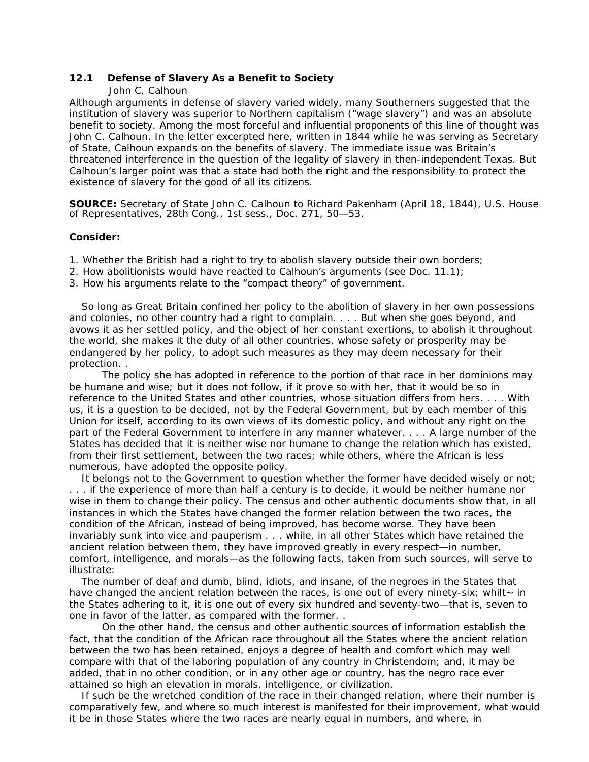### **12.1 Defense of Slavery As a Benefit to Society**

#### John C. Calhoun

Although arguments in defense of slavery varied widely, many Southerners suggested that the institution of slavery was superior to Northern capitalism ("wage slavery") and was an absolute benefit to society. Among the most forceful and influential proponents of this line of thought was John C. Calhoun. In the letter excerpted here, written in 1844 while he was serving as Secretary of State, Calhoun expands on the benefits of slavery. The immediate issue was Britain's threatened interference in the question of the legality of slavery in then-independent Texas. But Calhoun's larger point was that a state had both the right and the responsibility to protect the existence of slavery for the good of all its citizens.

**SOURCE:** Secretary of State John C. Calhoun to Richard Pakenham (April 18, 1844), U.S. House of Representatives, 28th Cong., 1st sess., Doc. 271, 50—53.

### **Consider:**

- 1. Whether the British had a right to try to abolish slavery outside their own borders;
- 2. How abolitionists would have reacted to Calhoun's arguments (see Doc. 11.1);
- 3. How his arguments relate to the "compact theory" of government.

So long as Great Britain confined her policy to the abolition of slavery in her own possessions and colonies, no other country had a right to complain. . . . But when she goes beyond, and avows it as her settled policy, and the object of her constant exertions, to abolish it throughout the world, she makes it the duty of all other countries, whose safety or prosperity may be endangered by her policy, to adopt such measures as they may deem necessary for their protection. .

The policy she has adopted in reference to the portion of that race in her dominions may be humane and wise; but it does not follow, if it prove so with her, that it would be so in reference to the United States and other countries, whose situation differs from hers. . . . With us, it is a question to be decided, not by the Federal Government, but by each member of this Union for itself, according to its own views of its domestic policy, and without any right on the part of the Federal Government to interfere in any manner whatever. . . . A large number of the States has decided that it is neither wise nor humane to change the relation which has existed, from their first settlement, between the two races; while others, where the African is less numerous, have adopted the opposite policy.

It belongs not to the Government to question whether the former have decided wisely or not; . . . if the experience of more than half a century is to decide, it would be neither humane nor wise in them to change their policy. The census and other authentic documents show that, in all instances in which the States have changed the former relation between the two races, the condition of the African, instead of being improved, has become worse. They have been invariably sunk into vice and pauperism . . . while, in all other States which have retained the ancient relation between them, they have improved greatly in every respect—in number, comfort, intelligence, and morals—as the following facts, taken from such sources, will serve to illustrate:

The number of deaf and dumb, blind, idiots, and insane, of the negroes in the States that have changed the ancient relation between the races, is one out of every ninety-six; whilt $\sim$  in the States adhering to it, it is one out of every six hundred and seventy-two—that is, seven to one in favor of the latter, as compared with the former. .

On the other hand, the census and other authentic sources of information establish the fact, that the condition of the African race throughout all the States where the ancient relation between the two has been retained, enjoys a degree of health and comfort which may well compare with that of the laboring population of any country in Christendom; and, it may be added, that in no other condition, or in any other age or country, has the negro race ever attained so high an elevation in morals, intelligence, or civilization.

If such be the wretched condition of the race in their changed relation, where their number is comparatively few, and where so much interest is manifested for their improvement, what would it be in those States where the two races are nearly equal in numbers, and where, in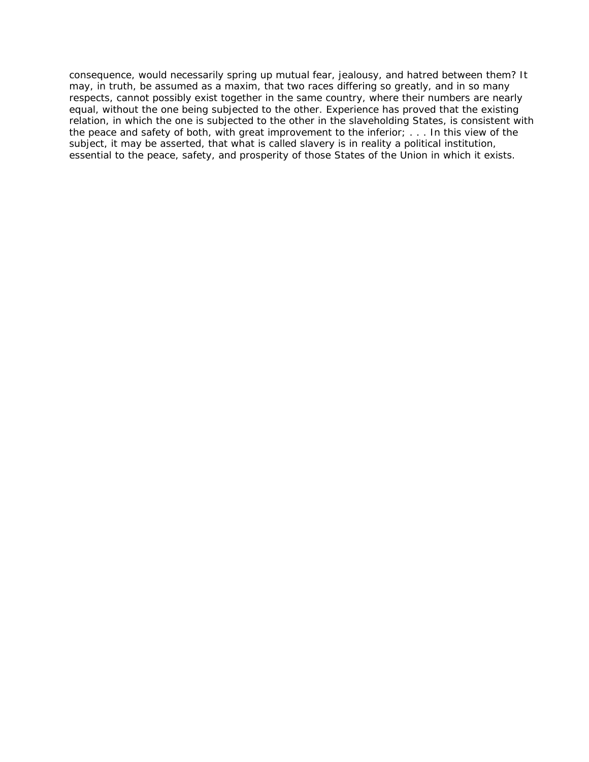consequence, would necessarily spring up mutual fear, jealousy, and hatred between them? It may, in truth, be assumed as a maxim, that two races differing so greatly, and in so many respects, cannot possibly exist together in the same country, where their numbers are nearly equal, without the one being subjected to the other. Experience has proved that the existing relation, in which the one is subjected to the other in the slaveholding States, is consistent with the peace and safety of both, with great improvement to the inferior; . . . In this view of the subject, it may be asserted, that what is called slavery is in reality a political institution, essential to the peace, safety, and prosperity of those States of the Union in which it exists.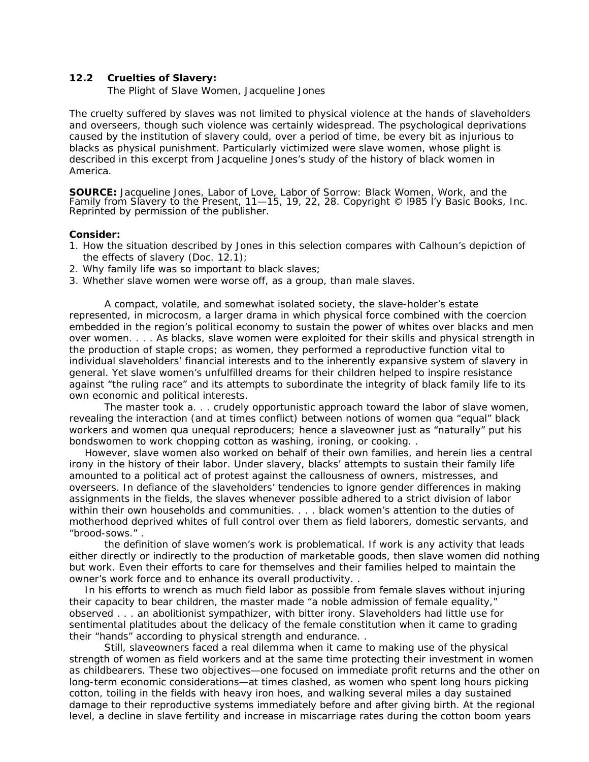## **12.2 Cruelties of Slavery:**

The Plight of Slave Women, Jacqueline Jones

The cruelty suffered by slaves was not limited to physical violence at the hands of slaveholders and overseers, though such violence was certainly widespread. The psychological deprivations caused by the institution of slavery could, over a period of time, be every bit as injurious to blacks as physical punishment. Particularly victimized were slave women, whose plight is described in this excerpt from Jacqueline Jones's study of the history of black women in America.

**SOURCE:** Jacqueline Jones, Labor of Love, Labor of Sorrow: Black Women, Work, and the Family from Slavery to the Present, 11–15, 19, 22, 28. Copyright © 1985 I'y Basic Books, Inc. Reprinted by permission of the publisher.

### **Consider:**

- 1. How the situation described by Jones in this selection compares with Calhoun's depiction of the effects of slavery (Doc. 12.1);
- 2. Why family life was so important to black slaves;
- 3. Whether slave women were worse off, as a group, than male slaves.

A compact, volatile, and somewhat isolated society, the slave-holder's estate represented, in microcosm, a larger drama in which physical force combined with the coercion embedded in the region's political economy to sustain the power of whites over blacks and men over women. . . . As blacks, slave women were exploited for their skills and physical strength in the production of staple crops; as women, they performed a reproductive function vital to individual slaveholders' financial interests and to the inherently expansive system of slavery in general. Yet slave women's unfulfilled dreams for their children helped to inspire resistance against "the ruling race" and its attempts to subordinate the integrity of black family life to its own economic and political interests.

The master took a. . . crudely opportunistic approach toward the labor of slave women, revealing the interaction (and at times conflict) between notions of women qua "equal" black workers and women qua unequal reproducers; hence a slaveowner just as "naturally" put his bondswomen to work chopping cotton as washing, ironing, or cooking. .

However, slave women also worked on behalf of their own families, and herein lies a central irony in the history of their labor. Under slavery, blacks' attempts to sustain their family life amounted to a political act of protest against the callousness of owners, mistresses, and overseers. In defiance of the slaveholders' tendencies to ignore gender differences in making assignments in the fields, the slaves whenever possible adhered to a strict division of labor within their own households and communities. . . . black women's attention to the duties of motherhood deprived whites of full control over them as field laborers, domestic servants, and "brood-sows." .

the definition of slave women's work is problematical. If work is any activity that leads either directly or indirectly to the production of marketable goods, then slave women did nothing but work. Even their efforts to care for themselves and their families helped to maintain the owner's work force and to enhance its overall productivity. .

In his efforts to wrench as much field labor as possible from female slaves without injuring their capacity to bear children, the master made "a noble admission of female equality," observed . . . an abolitionist sympathizer, with bitter irony. Slaveholders had little use for sentimental platitudes about the delicacy of the female constitution when it came to grading their "hands" according to physical strength and endurance. .

Still, slaveowners faced a real dilemma when it came to making use of the physical strength of women as field workers and at the same time protecting their investment in women as childbearers. These two objectives—one focused on immediate profit returns and the other on long-term economic considerations—at times clashed, as women who spent long hours picking cotton, toiling in the fields with heavy iron hoes, and walking several miles a day sustained damage to their reproductive systems immediately before and after giving birth. At the regional level, a decline in slave fertility and increase in miscarriage rates during the cotton boom years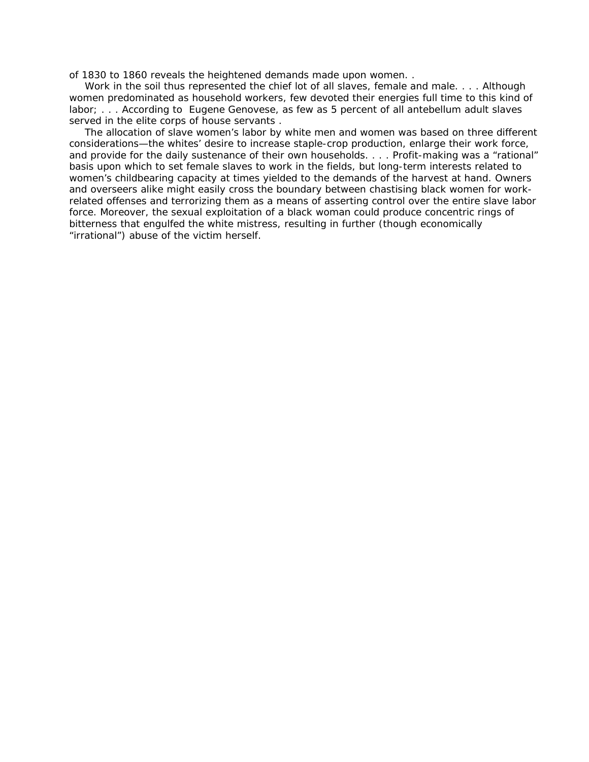of 1830 to 1860 reveals the heightened demands made upon women. .

Work in the soil thus represented the chief lot of all slaves, female and male. . . . Although women predominated as household workers, few devoted their energies full time to this kind of labor; . . . According to Eugene Genovese, as few as 5 percent of all antebellum adult slaves served in the elite corps of house servants .

The allocation of slave women's labor by white men and women was based on three different considerations—the whites' desire to increase staple-crop production, enlarge their work force, and provide for the daily sustenance of their own households. . . . Profit-making was a "rational" basis upon which to set female slaves to work in the fields, but long-term interests related to women's childbearing capacity at times yielded to the demands of the harvest at hand. Owners and overseers alike might easily cross the boundary between chastising black women for workrelated offenses and terrorizing them as a means of asserting control over the entire slave labor force. Moreover, the sexual exploitation of a black woman could produce concentric rings of bitterness that engulfed the white mistress, resulting in further (though economically "irrational") abuse of the victim herself.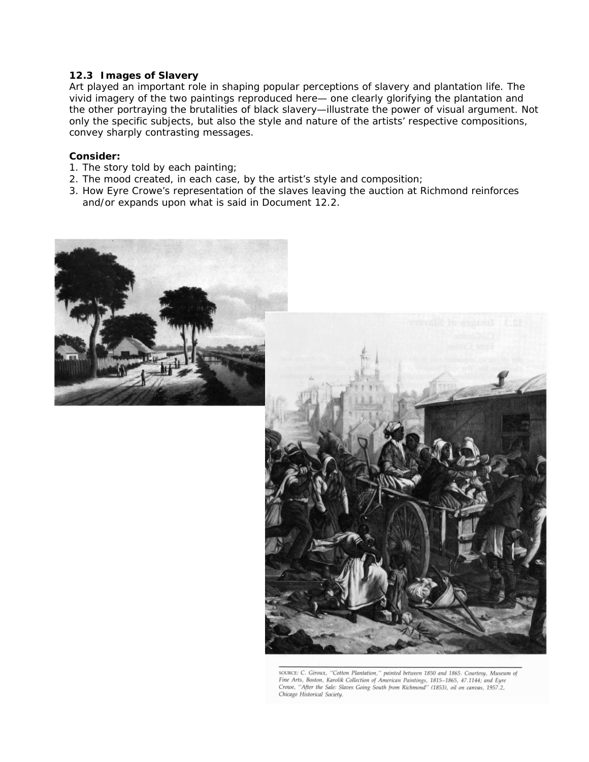## **12.3 Images of Slavery**

Art played an important role in shaping popular perceptions of slavery and plantation life. The vivid imagery of the two paintings reproduced here— one clearly glorifying the plantation and the other portraying the brutalities of black slavery—illustrate the power of visual argument. Not only the specific subjects, but also the style and nature of the artists' respective compositions, convey sharply contrasting messages.

### **Consider:**

- 1. The story told by each painting;
- 2. The mood created, in each case, by the artist's style and composition;
- 3. How Eyre Crowe's representation of the slaves leaving the auction at Richmond reinforces and/or expands upon what is said in Document 12.2.





SOURCE: C. Giroux, "Cotton Plantation," painted between 1850 and 1865. Courtesy, Museum of Fine Arts, Boston, Karolik Collection of American Paintings, 1815-1865, 47.1144; and Eyre Crowe, "After the Sale: Slaves Going South from Richmond" (1853), oil on canvas, 1957.2, Chicago Historical Society.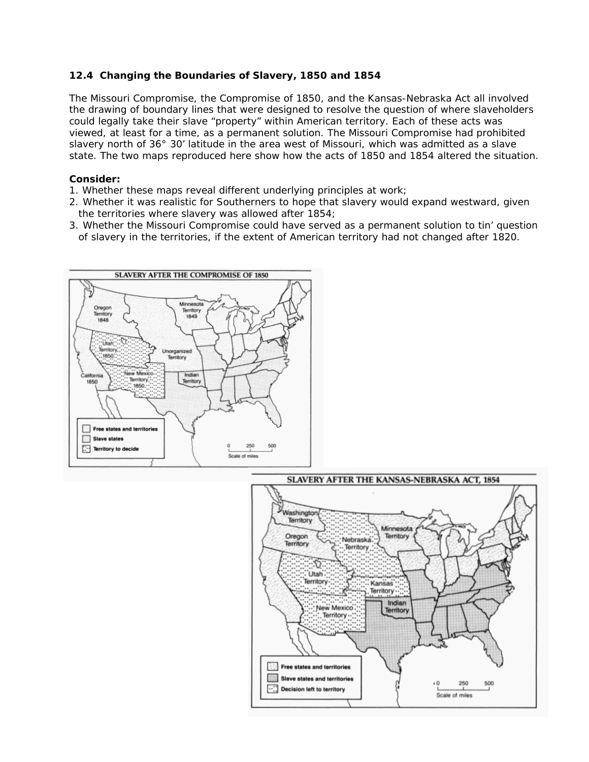### **12.4 Changing the Boundaries of Slavery, 1850 and 1854**

The Missouri Compromise, the Compromise of 1850, and the Kansas-Nebraska Act all involved the drawing of boundary lines that were designed to resolve the question of where slaveholders could legally take their slave "property" within American territory. Each of these acts was viewed, at least for a time, as a permanent solution. The Missouri Compromise had prohibited slavery north of 36° 30' latitude in the area west of Missouri, which was admitted as a slave state. The two maps reproduced here show how the acts of 1850 and 1854 altered the situation.

### **Consider:**

- 1. Whether these maps reveal different underlying principles at work;
- 2. Whether it was realistic for Southerners to hope that slavery would expand westward, given the territories where slavery was allowed after 1854;
- 3. Whether the Missouri Compromise could have served as a permanent solution to tin' question of slavery in the territories, if the extent of American territory had not changed after 1820.



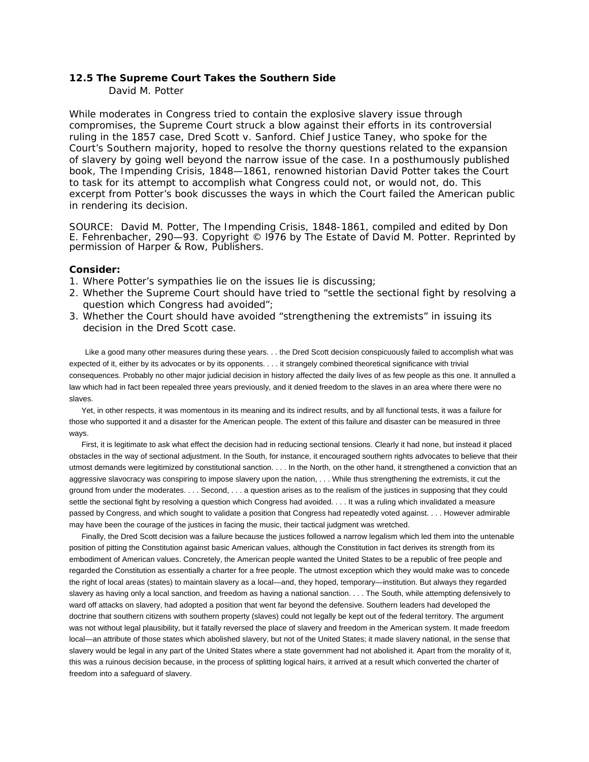#### **12.5 The Supreme Court Takes the Southern Side**

David M. Potter

While moderates in Congress tried to contain the explosive slavery issue through compromises, the Supreme Court struck a blow against their efforts in its controversial ruling in the 1857 case, Dred Scott v. Sanford. Chief Justice Taney, who spoke for the Court's Southern majority, hoped to resolve the thorny questions related to the expansion of slavery by going well beyond the narrow issue of the case. In a posthumously published book, The Impending Crisis, 1848—1861, renowned historian David Potter takes the Court to task for its attempt to accomplish what Congress could not, or would not, do. This excerpt from Potter's book discusses the ways in which the Court failed the American public in rendering its decision.

SOURCE: David M. Potter, The Impending Crisis, 1848-1861, compiled and edited by Don E. Fehrenbacher, 290–93. Copyright © I976 by The Estate of David M. Potter. Reprinted by permission of Harper & Row, Publishers.

### **Consider:**

- 1. Where Potter's sympathies lie on the issues lie is discussing;
- 2. Whether the Supreme Court should have tried to "settle the sectional fight by resolving a question which Congress had avoided";
- 3. Whether the Court should have avoided "strengthening the extremists" in issuing its decision in the Dred Scott case.

Like a good many other measures during these years. . . the Dred Scott decision conspicuously failed to accomplish what was expected of it, either by its advocates or by its opponents. . . . it strangely combined theoretical significance with trivial consequences. Probably no other major judicial decision in history affected the daily lives of as few people as this one. It annulled a law which had in fact been repealed three years previously, and it denied freedom to the slaves in an area where there were no slaves.

Yet, in other respects, it was momentous in its meaning and its indirect results, and by all functional tests, it was a failure for those who supported it and a disaster for the American people. The extent of this failure and disaster can be measured in three ways.

First, it is legitimate to ask what effect the decision had in reducing sectional tensions. Clearly it had none, but instead it placed obstacles in the way of sectional adjustment. In the South, for instance, it encouraged southern rights advocates to believe that their utmost demands were legitimized by constitutional sanction. . . . In the North, on the other hand, it strengthened a conviction that an aggressive slavocracy was conspiring to impose slavery upon the nation, . . . While thus strengthening the extremists, it cut the ground from under the moderates. . . . Second, . . . a question arises as to the realism of the justices in supposing that they could settle the sectional fight by resolving a question which Congress had avoided. . . . It was a ruling which invalidated a measure passed by Congress, and which sought to validate a position that Congress had repeatedly voted against. . . . However admirable may have been the courage of the justices in facing the music, their tactical judgment was wretched.

Finally, the Dred Scott decision was a failure because the justices followed a narrow legalism which led them into the untenable position of pitting the Constitution against basic American values, although the Constitution in fact derives its strength from its embodiment of American values. Concretely, the American people wanted the United States to be a republic of free people and regarded the Constitution as essentially a charter for a free people. The utmost exception which they would make was to concede the right of local areas (states) to maintain slavery as a local—and, they hoped, temporary—institution. But always they regarded slavery as having only a local sanction, and freedom as having a national sanction. . . . The South, while attempting defensively to ward off attacks on slavery, had adopted a position that went far beyond the defensive. Southern leaders had developed the doctrine that southern citizens with southern property (slaves) could not legally be kept out of the federal territory. The argument was not without legal plausibility, but it fatally reversed the place of slavery and freedom in the American system. It made freedom local—an attribute of those states which abolished slavery, but not of the United States; it made slavery national, in the sense that slavery would be legal in any part of the United States where a state government had not abolished it. Apart from the morality of it, this was a ruinous decision because, in the process of splitting logical hairs, it arrived at a result which converted the charter of freedom into a safeguard of slavery.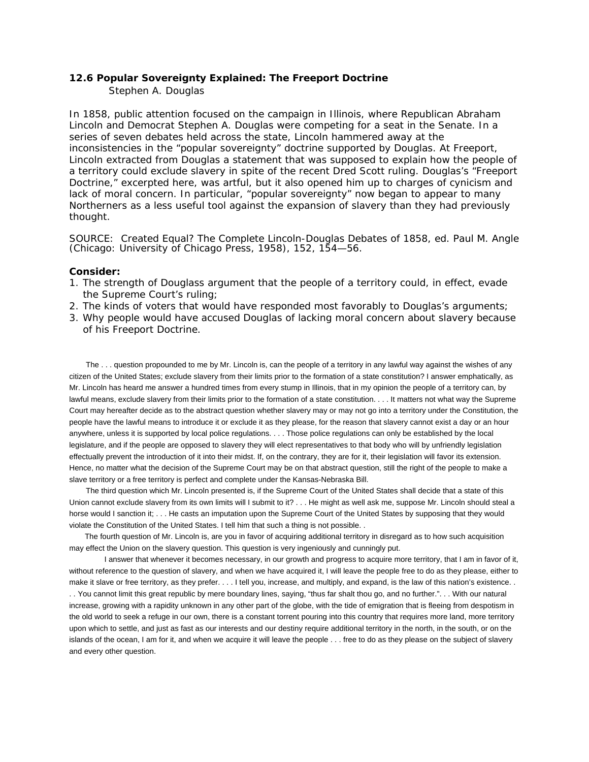### **12.6 Popular Sovereignty Explained: The Freeport Doctrine**

### Stephen A. Douglas

In 1858, public attention focused on the campaign in Illinois, where Republican Abraham Lincoln and Democrat Stephen A. Douglas were competing for a seat in the Senate. In a series of seven debates held across the state, Lincoln hammered away at the inconsistencies in the "popular sovereignty" doctrine supported by Douglas. At Freeport, Lincoln extracted from Douglas a statement that was supposed to explain how the people of a territory could exclude slavery in spite of the recent Dred Scott ruling. Douglas's "Freeport Doctrine," excerpted here, was artful, but it also opened him up to charges of cynicism and lack of moral concern. In particular, "popular sovereignty" now began to appear to many Northerners as a less useful tool against the expansion of slavery than they had previously thought.

SOURCE: Created Equal? The Complete Lincoln-Douglas Debates of 1858, ed. Paul M. Angle (Chicago: University of Chicago Press, 1958), 152, 154—56.

#### **Consider:**

- 1. The strength of Douglass argument that the people of a territory could, in effect, evade the Supreme Court's ruling;
- 2. The kinds of voters that would have responded most favorably to Douglas's arguments;
- 3. Why people would have accused Douglas of lacking moral concern about slavery because of his Freeport Doctrine.

The . . . question propounded to me by Mr. Lincoln is, can the people of a territory in any lawful way against the wishes of any citizen of the United States; exclude slavery from their limits prior to the formation of a state constitution? I answer emphatically, as Mr. Lincoln has heard me answer a hundred times from every stump in Illinois, that in my opinion the people of a territory can, by lawful means, exclude slavery from their limits prior to the formation of a state constitution. . . . It matters not what way the Supreme Court may hereafter decide as to the abstract question whether slavery may or may not go into a territory under the Constitution, the people have the lawful means to introduce it or exclude it as they please, for the reason that slavery cannot exist a day or an hour anywhere, unless it is supported by local police regulations. . . . Those police regulations can only be established by the local legislature, and if the people are opposed to slavery they will elect representatives to that body who will by unfriendly legislation effectually prevent the introduction of it into their midst. If, on the contrary, they are for it, their legislation will favor its extension. Hence, no matter what the decision of the Supreme Court may be on that abstract question, still the right of the people to make a slave territory or a free territory is perfect and complete under the Kansas-Nebraska Bill.

The third question which Mr. Lincoln presented is, if the Supreme Court of the United States shall decide that a state of this Union cannot exclude slavery from its own limits will I submit to it? . . . He might as well ask me, suppose Mr. Lincoln should steal a horse would I sanction it; . . . He casts an imputation upon the Supreme Court of the United States by supposing that they would violate the Constitution of the United States. I tell him that such a thing is not possible. .

The fourth question of Mr. Lincoln is, are you in favor of acquiring additional territory in disregard as to how such acquisition may effect the Union on the slavery question. This question is very ingeniously and cunningly put.

I answer that whenever it becomes necessary, in our growth and progress to acquire more territory, that I am in favor of it, without reference to the question of slavery, and when we have acquired it, I will leave the people free to do as they please, either to make it slave or free territory, as they prefer. . . . I tell you, increase, and multiply, and expand, is the law of this nation's existence. . . . You cannot limit this great republic by mere boundary lines, saying, "thus far shalt thou go, and no further.". . . With our natural increase, growing with a rapidity unknown in any other part of the globe, with the tide of emigration that is fleeing from despotism in the old world to seek a refuge in our own, there is a constant torrent pouring into this country that requires more land, more territory upon which to settle, and just as fast as our interests and our destiny require additional territory in the north, in the south, or on the islands of the ocean, I am for it, and when we acquire it will leave the people . . . free to do as they please on the subject of slavery and every other question.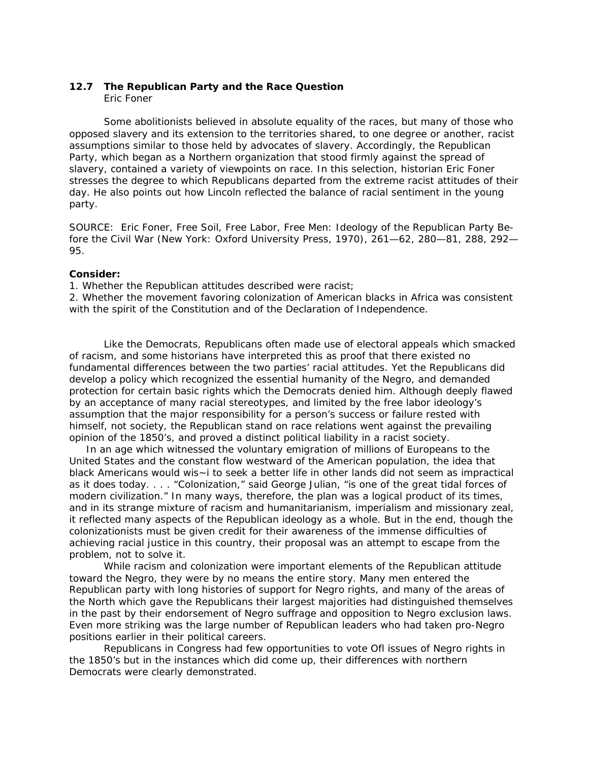### **12.7 The Republican Party and the Race Question**  Eric Foner

Some abolitionists believed in absolute equality of the races, but many of those who opposed slavery and its extension to the territories shared, to one degree or another, racist assumptions similar to those held by advocates of slavery. Accordingly, the Republican Party, which began as a Northern organization that stood firmly against the spread of slavery, contained a variety of viewpoints on race. In this selection, historian Eric Foner stresses the degree to which Republicans departed from the extreme racist attitudes of their day. He also points out how Lincoln reflected the balance of racial sentiment in the young party.

SOURCE: Eric Foner, Free Soil, Free Labor, Free Men: Ideology of the Republican Party Before the Civil War (New York: Oxford University Press, 1970), 261—62, 280—81, 288, 292— 95.

### **Consider:**

1. Whether the Republican attitudes described were racist;

2. Whether the movement favoring colonization of American blacks in Africa was consistent with the spirit of the Constitution and of the Declaration of Independence.

 Like the Democrats, Republicans often made use of electoral appeals which smacked of racism, and some historians have interpreted this as proof that there existed no fundamental differences between the two parties' racial attitudes. Yet the Republicans did develop a policy which recognized the essential humanity of the Negro, and demanded protection for certain basic rights which the Democrats denied him. Although deeply flawed by an acceptance of many racial stereotypes, and limited by the free labor ideology's assumption that the major responsibility for a person's success or failure rested with himself, not society, the Republican stand on race relations went against the prevailing opinion of the 1850's, and proved a distinct political liability in a racist society.

 In an age which witnessed the voluntary emigration of millions of Europeans to the United States and the constant flow westward of the American population, the idea that black Americans would wis~i to seek a better life in other lands did not seem as impractical as it does today. . . . "Colonization," said George Julian, "is one of the great tidal forces of modern civilization." In many ways, therefore, the plan was a logical product of its times, and in its strange mixture of racism and humanitarianism, imperialism and missionary zeal, it reflected many aspects of the Republican ideology as a whole. But in the end, though the colonizationists must be given credit for their awareness of the immense difficulties of achieving racial justice in this country, their proposal was an attempt to escape from the problem, not to solve it.

While racism and colonization were important elements of the Republican attitude toward the Negro, they were by no means the entire story. Many men entered the Republican party with long histories of support for Negro rights, and many of the areas of the North which gave the Republicans their largest majorities had distinguished themselves in the past by their endorsement of Negro suffrage and opposition to Negro exclusion laws. Even more striking was the large number of Republican leaders who had taken pro-Negro positions earlier in their political careers.

Republicans in Congress had few opportunities to vote Ofl issues of Negro rights in the 1850's but in the instances which did come up, their differences with northern Democrats were clearly demonstrated.